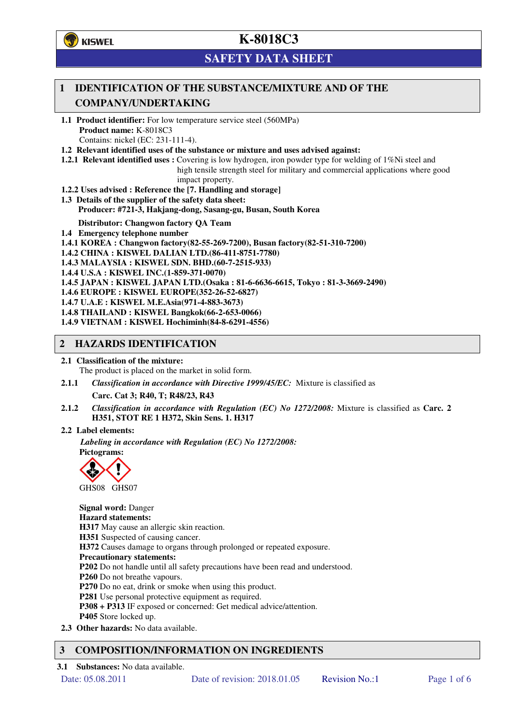

# **SAFETY DATA SHEET**

## **1 IDENTIFICATION OF THE SUBSTANCE/MIXTURE AND OF THE COMPANY/UNDERTAKING**

- **1.1 Product identifier:** For low temperature service steel (560MPa) **Product name:** K-8018C3 Contains: nickel (EC: 231-111-4).
- **1.2 Relevant identified uses of the substance or mixture and uses advised against:**
- **1.2.1 Relevant identified uses :** Covering is low hydrogen, iron powder type for welding of 1%Ni steel and
	- high tensile strength steel for military and commercial applications where good impact property.
- **1.2.2 Uses advised : Reference the [7. Handling and storage]**
- **1.3 Details of the supplier of the safety data sheet:** 
	- **Producer: #721-3, Hakjang-dong, Sasang-gu, Busan, South Korea**

#### **Distributor: Changwon factory QA Team**

- **1.4 Emergency telephone number**
- **1.4.1 KOREA : Changwon factory(82-55-269-7200), Busan factory(82-51-310-7200)**
- **1.4.2 CHINA : KISWEL DALIAN LTD.(86-411-8751-7780)**

**1.4.3 MALAYSIA : KISWEL SDN. BHD.(60-7-2515-933)** 

- **1.4.4 U.S.A : KISWEL INC.(1-859-371-0070)**
- **1.4.5 JAPAN : KISWEL JAPAN LTD.(Osaka : 81-6-6636-6615, Tokyo : 81-3-3669-2490)**
- **1.4.6 EUROPE : KISWEL EUROPE(352-26-52-6827)**
- **1.4.7 U.A.E : KISWEL M.E.Asia(971-4-883-3673)**
- **1.4.8 THAILAND : KISWEL Bangkok(66-2-653-0066)**
- **1.4.9 VIETNAM : KISWEL Hochiminh(84-8-6291-4556)**

### **2 HAZARDS IDENTIFICATION**

#### **2.1 Classification of the mixture:**

The product is placed on the market in solid form.

- **2.1.1** *Classification in accordance with Directive 1999/45/EC:* Mixture is classified as **Carc. Cat 3; R40, T; R48/23, R43**
- **2.1.2** *Classification in accordance with Regulation (EC) No 1272/2008:* Mixture is classified as **Carc. 2 H351, STOT RE 1 H372, Skin Sens. 1. H317**

#### **2.2 Label elements:**

*Labeling in accordance with Regulation (EC) No 1272/2008:*  **Pictograms:** 



**Signal word:** Danger **Hazard statements: H317** May cause an allergic skin reaction. **H351** Suspected of causing cancer. **H372** Causes damage to organs through prolonged or repeated exposure. **Precautionary statements: P202** Do not handle until all safety precautions have been read and understood. **P260** Do not breathe vapours. **P270** Do no eat, drink or smoke when using this product. **P281** Use personal protective equipment as required. **P308 + P313** IF exposed or concerned: Get medical advice/attention. **P405** Store locked up. **2.3 Other hazards:** No data available.

### **3 COMPOSITION/INFORMATION ON INGREDIENTS**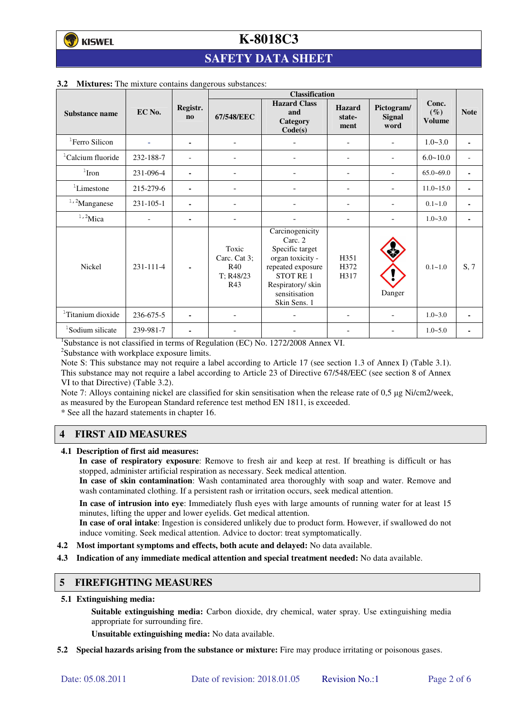# **SAFETY DATA SHEET**

|                               |           |                                    | <b>Classification</b>                            |                                                                                                                                                                |                                 |                              |                                  |                          |
|-------------------------------|-----------|------------------------------------|--------------------------------------------------|----------------------------------------------------------------------------------------------------------------------------------------------------------------|---------------------------------|------------------------------|----------------------------------|--------------------------|
| Substance name                | EC No.    | Registr.<br>$\mathbf{n}\mathbf{o}$ | 67/548/EEC                                       | <b>Hazard Class</b><br>and<br>Category<br>Code(s)                                                                                                              | <b>Hazard</b><br>state-<br>ment | Pictogram/<br>Signal<br>word | Conc.<br>$(\%)$<br><b>Volume</b> | <b>Note</b>              |
| <sup>1</sup> Ferro Silicon    |           | ۰                                  | $\overline{\phantom{a}}$                         |                                                                                                                                                                | Ξ.                              |                              | $1.0 - 3.0$                      | $\blacksquare$           |
| <sup>1</sup> Calcium fluoride | 232-188-7 |                                    |                                                  |                                                                                                                                                                | $\overline{a}$                  |                              | $6.0 - 10.0$                     | $\overline{\phantom{a}}$ |
| $1$ Iron                      | 231-096-4 | ۰                                  |                                                  |                                                                                                                                                                |                                 |                              | $65.0 - 69.0$                    | $\blacksquare$           |
| <sup>1</sup> Limestone        | 215-279-6 | ۰                                  | ٠                                                |                                                                                                                                                                | ۰                               |                              | $11.0 - 15.0$                    | ٠                        |
| $1,2$ Manganese               | 231-105-1 |                                    |                                                  |                                                                                                                                                                |                                 | ۰                            | $0.1 - 1.0$                      | $\blacksquare$           |
| $1,2$ Mica                    |           | ۰                                  |                                                  |                                                                                                                                                                |                                 |                              | $1.0 - 3.0$                      | ٠                        |
| Nickel                        | 231-111-4 |                                    | Toxic<br>Carc. Cat 3;<br>R40<br>T: R48/23<br>R43 | Carcinogenicity<br>Carc. 2<br>Specific target<br>organ toxicity -<br>repeated exposure<br><b>STOT RE1</b><br>Respiratory/skin<br>sensitisation<br>Skin Sens. 1 | H351<br>H372<br>H317            | Danger                       | $0.1 - 1.0$                      | S, 7                     |
| <sup>1</sup> Titanium dioxide | 236-675-5 |                                    |                                                  |                                                                                                                                                                |                                 |                              | $1.0 - 3.0$                      | $\blacksquare$           |
| <sup>1</sup> Sodium silicate  | 239-981-7 | ۰                                  |                                                  |                                                                                                                                                                |                                 |                              | $1.0 - 5.0$                      |                          |

#### **3.2 Mixtures:** The mixture contains dangerous substances:

<sup>1</sup>Substance is not classified in terms of Regulation (EC) No. 1272/2008 Annex VI.

<sup>2</sup>Substance with workplace exposure limits.

Note S: This substance may not require a label according to Article 17 (see section 1.3 of Annex I) (Table 3.1). This substance may not require a label according to Article 23 of Directive 67/548/EEC (see section 8 of Annex VI to that Directive) (Table 3.2).

Note 7: Alloys containing nickel are classified for skin sensitisation when the release rate of 0,5 µg Ni/cm2/week, as measured by the European Standard reference test method EN 1811, is exceeded.

\* See all the hazard statements in chapter 16.

## **4 FIRST AID MEASURES**

**4.1 Description of first aid measures:** 

**In case of respiratory exposure**: Remove to fresh air and keep at rest. If breathing is difficult or has stopped, administer artificial respiration as necessary. Seek medical attention.

**In case of skin contamination**: Wash contaminated area thoroughly with soap and water. Remove and wash contaminated clothing. If a persistent rash or irritation occurs, seek medical attention.

 **In case of intrusion into eye**: Immediately flush eyes with large amounts of running water for at least 15 minutes, lifting the upper and lower eyelids. Get medical attention.

**In case of oral intake**: Ingestion is considered unlikely due to product form. However, if swallowed do not induce vomiting. Seek medical attention. Advice to doctor: treat symptomatically.

- **4.2 Most important symptoms and effects, both acute and delayed:** No data available.
- **4.3 Indication of any immediate medical attention and special treatment needed:** No data available.

### **5 FIREFIGHTING MEASURES**

**5.1 Extinguishing media:** 

**Suitable extinguishing media:** Carbon dioxide, dry chemical, water spray. Use extinguishing media appropriate for surrounding fire.

**Unsuitable extinguishing media:** No data available.

**5.2 Special hazards arising from the substance or mixture:** Fire may produce irritating or poisonous gases.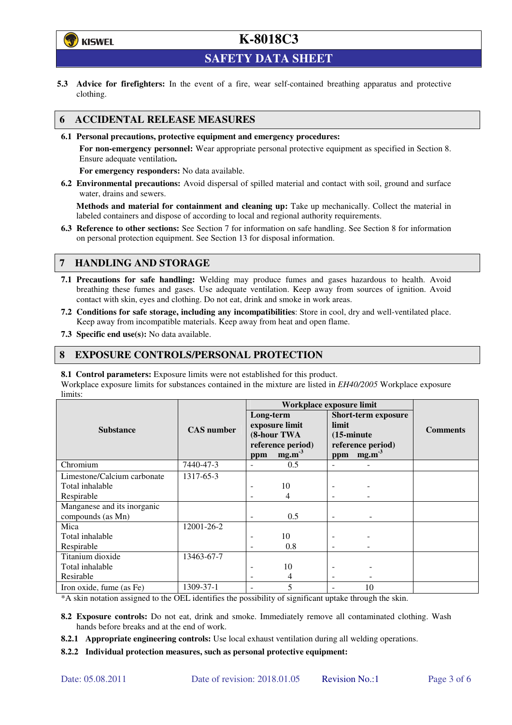

**SAFETY DATA SHEET** 

**5.3 Advice for firefighters:** In the event of a fire, wear self-contained breathing apparatus and protective clothing.

## **6 ACCIDENTAL RELEASE MEASURES**

**6.1 Personal precautions, protective equipment and emergency procedures:** 

**For non-emergency personnel:** Wear appropriate personal protective equipment as specified in Section 8. Ensure adequate ventilation**.** 

**For emergency responders:** No data available.

**6.2 Environmental precautions:** Avoid dispersal of spilled material and contact with soil, ground and surface water, drains and sewers.

**Methods and material for containment and cleaning up:** Take up mechanically. Collect the material in labeled containers and dispose of according to local and regional authority requirements.

**6.3 Reference to other sections:** See Section 7 for information on safe handling. See Section 8 for information on personal protection equipment. See Section 13 for disposal information.

## **7 HANDLING AND STORAGE**

- **7.1 Precautions for safe handling:** Welding may produce fumes and gases hazardous to health. Avoid breathing these fumes and gases. Use adequate ventilation. Keep away from sources of ignition. Avoid contact with skin, eyes and clothing. Do not eat, drink and smoke in work areas.
- **7.2 Conditions for safe storage, including any incompatibilities**: Store in cool, dry and well-ventilated place. Keep away from incompatible materials. Keep away from heat and open flame.
- **7.3 Specific end use(s):** No data available.

### **8 EXPOSURE CONTROLS/PERSONAL PROTECTION**

**8.1 Control parameters:** Exposure limits were not established for this product.

Workplace exposure limits for substances contained in the mixture are listed in *EH40/2005* Workplace exposure limits:

|                             | <b>CAS</b> number | Workplace exposure limit                                        |                   |                                                                                  |                   |                 |  |
|-----------------------------|-------------------|-----------------------------------------------------------------|-------------------|----------------------------------------------------------------------------------|-------------------|-----------------|--|
|                             |                   | Long-term<br>exposure limit<br>(8-hour TWA<br>reference period) |                   | <b>Short-term exposure</b><br>limit<br>$(15\text{-minute})$<br>reference period) |                   | <b>Comments</b> |  |
| <b>Substance</b>            |                   |                                                                 |                   |                                                                                  |                   |                 |  |
|                             |                   |                                                                 |                   |                                                                                  |                   |                 |  |
|                             |                   |                                                                 |                   |                                                                                  |                   |                 |  |
|                             |                   | ppm                                                             | mg.m <sup>3</sup> | ppm                                                                              | mg.m <sup>3</sup> |                 |  |
| Chromium                    | 7440-47-3         |                                                                 | 0.5               |                                                                                  |                   |                 |  |
| Limestone/Calcium carbonate | 1317-65-3         |                                                                 |                   |                                                                                  |                   |                 |  |
| Total inhalable             |                   |                                                                 | 10                |                                                                                  |                   |                 |  |
| Respirable                  |                   |                                                                 | 4                 |                                                                                  |                   |                 |  |
| Manganese and its inorganic |                   |                                                                 |                   |                                                                                  |                   |                 |  |
| compounds (as Mn)           |                   |                                                                 | 0.5               |                                                                                  |                   |                 |  |
| Mica                        | 12001-26-2        |                                                                 |                   |                                                                                  |                   |                 |  |
| Total inhalable             |                   |                                                                 | 10                |                                                                                  |                   |                 |  |
| Respirable                  |                   |                                                                 | 0.8               |                                                                                  |                   |                 |  |
| Titanium dioxide            | 13463-67-7        |                                                                 |                   |                                                                                  |                   |                 |  |
| Total inhalable             |                   |                                                                 | 10                |                                                                                  |                   |                 |  |
| Resirable                   |                   |                                                                 | 4                 | $\overline{\phantom{a}}$                                                         |                   |                 |  |
| Iron oxide, fume (as Fe)    | 1309-37-1         |                                                                 | 5                 |                                                                                  | 10                |                 |  |

\*A skin notation assigned to the OEL identifies the possibility of significant uptake through the skin.

- **8.2 Exposure controls:** Do not eat, drink and smoke. Immediately remove all contaminated clothing. Wash hands before breaks and at the end of work.
- **8.2.1 Appropriate engineering controls:** Use local exhaust ventilation during all welding operations.

**8.2.2 Individual protection measures, such as personal protective equipment:**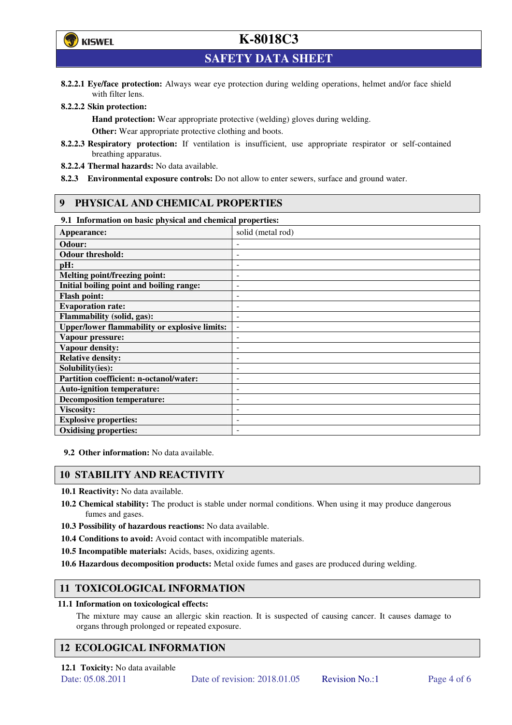

**SAFETY DATA SHEET** 

**8.2.2.1 Eye/face protection:** Always wear eye protection during welding operations, helmet and/or face shield with filter lens.

#### **8.2.2.2 Skin protection:**

**Hand protection:** Wear appropriate protective (welding) gloves during welding. **Other:** Wear appropriate protective clothing and boots.

- **8.2.2.3 Respiratory protection:** If ventilation is insufficient, use appropriate respirator or self-contained breathing apparatus.
- **8.2.2.4 Thermal hazards:** No data available.
- **8.2.3 Environmental exposure controls:** Do not allow to enter sewers, surface and ground water.

### **9 PHYSICAL AND CHEMICAL PROPERTIES**

### **9.1 Information on basic physical and chemical properties:**

| эт тигериштери он ошис рнужки ини сисписит ргорегием |                          |
|------------------------------------------------------|--------------------------|
| Appearance:                                          | solid (metal rod)        |
| Odour:                                               |                          |
| <b>Odour threshold:</b>                              |                          |
| pH:                                                  |                          |
| <b>Melting point/freezing point:</b>                 | -                        |
| Initial boiling point and boiling range:             | $\overline{a}$           |
| <b>Flash point:</b>                                  |                          |
| <b>Evaporation rate:</b>                             |                          |
| <b>Flammability (solid, gas):</b>                    |                          |
| <b>Upper/lower flammability or explosive limits:</b> | $\overline{\phantom{a}}$ |
| Vapour pressure:                                     | ۰                        |
| Vapour density:                                      |                          |
| <b>Relative density:</b>                             |                          |
| Solubility(ies):                                     |                          |
| Partition coefficient: n-octanol/water:              | $\overline{a}$           |
| <b>Auto-ignition temperature:</b>                    | ۰                        |
| <b>Decomposition temperature:</b>                    |                          |
| <b>Viscosity:</b>                                    |                          |
| <b>Explosive properties:</b>                         | ٠                        |
| <b>Oxidising properties:</b>                         | -                        |
|                                                      |                          |

**9.2 Other information:** No data available.

### **10 STABILITY AND REACTIVITY**

**10.1 Reactivity:** No data available.

- **10.2 Chemical stability:** The product is stable under normal conditions. When using it may produce dangerous fumes and gases.
- **10.3 Possibility of hazardous reactions:** No data available.
- **10.4 Conditions to avoid:** Avoid contact with incompatible materials.
- **10.5 Incompatible materials:** Acids, bases, oxidizing agents.
- **10.6 Hazardous decomposition products:** Metal oxide fumes and gases are produced during welding.

## **11 TOXICOLOGICAL INFORMATION**

#### **11.1 Information on toxicological effects:**

The mixture may cause an allergic skin reaction. It is suspected of causing cancer. It causes damage to organs through prolonged or repeated exposure.

## **12 ECOLOGICAL INFORMATION**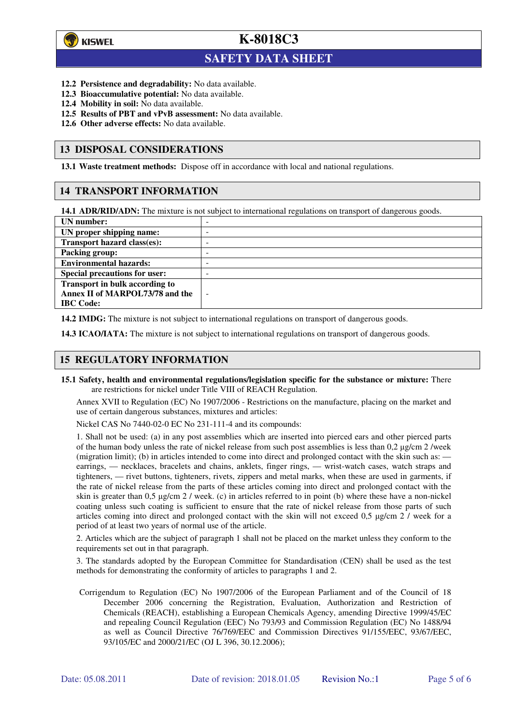

 $\overline{a}$ 

**K-8018C3**

## **SAFETY DATA SHEET**

- **12.2 Persistence and degradability:** No data available.
- **12.3 Bioaccumulative potential:** No data available.
- **12.4 Mobility in soil:** No data available.
- **12.5 Results of PBT and vPvB assessment:** No data available.
- **12.6 Other adverse effects:** No data available.

### **13 DISPOSAL CONSIDERATIONS**

**13.1 Waste treatment methods:** Dispose off in accordance with local and national regulations.

### **14 TRANSPORT INFORMATION**

**14.1 ADR/RID/ADN:** The mixture is not subject to international regulations on transport of dangerous goods.

| UN number:                            | - |
|---------------------------------------|---|
| UN proper shipping name:              | - |
| Transport hazard class(es):           | - |
| <b>Packing group:</b>                 | - |
| <b>Environmental hazards:</b>         | - |
| <b>Special precautions for user:</b>  | - |
| <b>Transport in bulk according to</b> |   |
| Annex II of MARPOL73/78 and the       | - |
| <b>IBC</b> Code:                      |   |

**14.2 IMDG:** The mixture is not subject to international regulations on transport of dangerous goods.

**14.3 ICAO/IATA:** The mixture is not subject to international regulations on transport of dangerous goods.

## **15 REGULATORY INFORMATION**

**15.1 Safety, health and environmental regulations/legislation specific for the substance or mixture:** There are restrictions for nickel under Title VIII of REACH Regulation.

Annex XVII to Regulation (EC) No 1907/2006 - Restrictions on the manufacture, placing on the market and use of certain dangerous substances, mixtures and articles:

Nickel CAS No 7440-02-0 EC No 231-111-4 and its compounds:

1. Shall not be used: (a) in any post assemblies which are inserted into pierced ears and other pierced parts of the human body unless the rate of nickel release from such post assemblies is less than  $0.2 \mu$ g/cm  $2$ /week (migration limit); (b) in articles intended to come into direct and prolonged contact with the skin such as: earrings, — necklaces, bracelets and chains, anklets, finger rings, — wrist-watch cases, watch straps and tighteners, — rivet buttons, tighteners, rivets, zippers and metal marks, when these are used in garments, if the rate of nickel release from the parts of these articles coming into direct and prolonged contact with the skin is greater than 0,5 µg/cm 2 / week. (c) in articles referred to in point (b) where these have a non-nickel coating unless such coating is sufficient to ensure that the rate of nickel release from those parts of such articles coming into direct and prolonged contact with the skin will not exceed 0,5 µg/cm 2 / week for a period of at least two years of normal use of the article.

2. Articles which are the subject of paragraph 1 shall not be placed on the market unless they conform to the requirements set out in that paragraph.

3. The standards adopted by the European Committee for Standardisation (CEN) shall be used as the test methods for demonstrating the conformity of articles to paragraphs 1 and 2.

Corrigendum to Regulation (EC) No 1907/2006 of the European Parliament and of the Council of 18 December 2006 concerning the Registration, Evaluation, Authorization and Restriction of Chemicals (REACH), establishing a European Chemicals Agency, amending Directive 1999/45/EC and repealing Council Regulation (EEC) No 793/93 and Commission Regulation (EC) No 1488/94 as well as Council Directive 76/769/EEC and Commission Directives 91/155/EEC, 93/67/EEC, 93/105/EC and 2000/21/EC (OJ L 396, 30.12.2006);